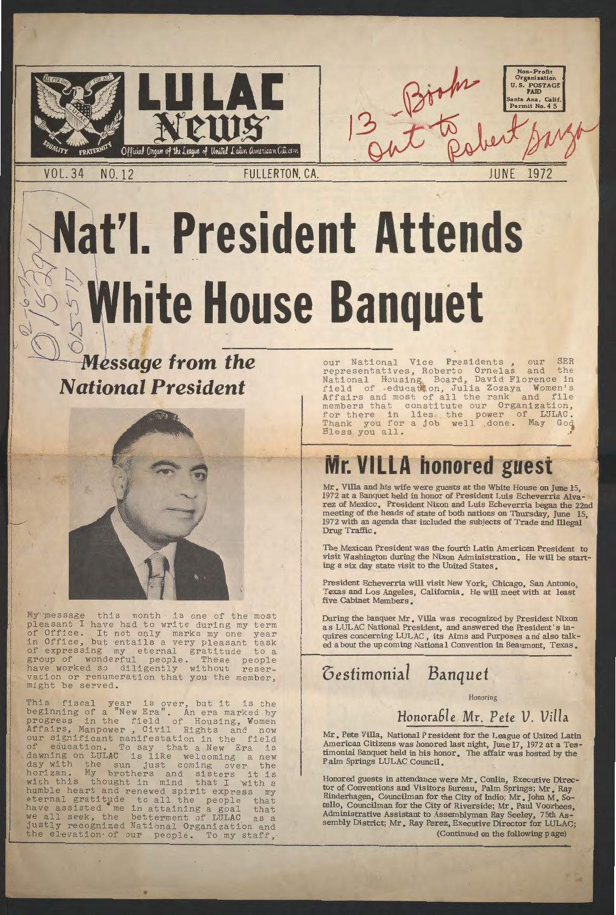

**VOL.34** NO.12

# Nat'l. President Attends ~ ~~ ~  $\mathbb{Z}$  White House Banquet

**Non-Profit Organization U.S. POSTAGE PAID** 

Permit No. 45

**JUNE** 1972

### $\bigcirc$ **Message from the** *National President*



My message this month is one of the most pleasant I have had to write during my term of Office. It not only marks my one year in Office, but entails a very pleasant task<br>of expressing my eternal gratitude to a eternal gratitude group of wonderful people. These people have worked so diligently without reservation or renumeration that you the member, might be served.

our National Vice Presidents, our SER representatives, Roberto Ornelas and the National Housing Board, David Florence in field of education, Julia Zozaya Women' Affairs and most of all the rank and file members that constitute our Organization, for there in lies the power of LULAC.<br>Thank you for a job well done. May God Thank you for a job well , done. Bless you all. •

Mr. Villa and his wife were guests at the White House on June 15, 1972 at a Banquet held in honor of President Luis Echeverria Alvarez of Mexico. President Nixon and Luis Echeverria began the 22nd meeting of the heads of state of both nations on Thursday, June 15, 1972 with an agenda that included the subjects of Trade and illegal Drug Traffic.

During the banquet Mr. Villa was recognized by President Nixon as LULAC National President, and answered the President's inquires concerning LULAC, its Aims and Purposes and also talked a bout the up coming Nationa 1 Convention in Beaumont, Texas.

This fiscal year is over, but it is the beginning of a "New Era". An era marked by progress in the field of Housing, Women Affairs, Manpower, Civil Rights and now our significant manifestation in the field of education. To say that a New Era is dawning on LULAC is like welcoming a new day with the sun just coming over the horizan. My brothers and sisters it is with this thought in mind that I with a humble heart and renewed spirit express my eternal gratitude to all the people tha have assisted me in attaining a goal that we all seek, the betterment of LULAC as a justly recognized National Organization and the elevation of our people. To my staff,

п

# **Mr. VILLA honored guest**

The Mexican President was the fourth Latin American President to visit Washington during the Nixon Administration. He will be starting a six day state visit to the United States.

President Echeverria will visit New York, Chicago, San Antonio, Texas and Los Angeles, California. He will meet with at least five Cabinet Members.

## *oestimonial Banquet*

Honoring

#### Honorable Mr. Pete V. Villa

Mr. Pete Villa, National President for the League of United Latin American Citizens was honored last night, June 17, 1972 at a Testimonial Banquet held in his honor. The affair was hosted by the Palm Springs LULAC Council.

Honored guests in attendance were Mr. Conlin, Executive Director of Conventions and Visitors Bureau, Palm Springs; Mr. Ray Rinderhagen, Councilman for the City of Indio; Mr. John M. Sotello, Councilman for the City of Riverside; Mr. Paul Voorhees, Administrative Assistant to Assemblyman Ray Seeley, 7 5th Assembly District; Mr. Ray Perez, Executive Director for LULAC; (Continued on the following page)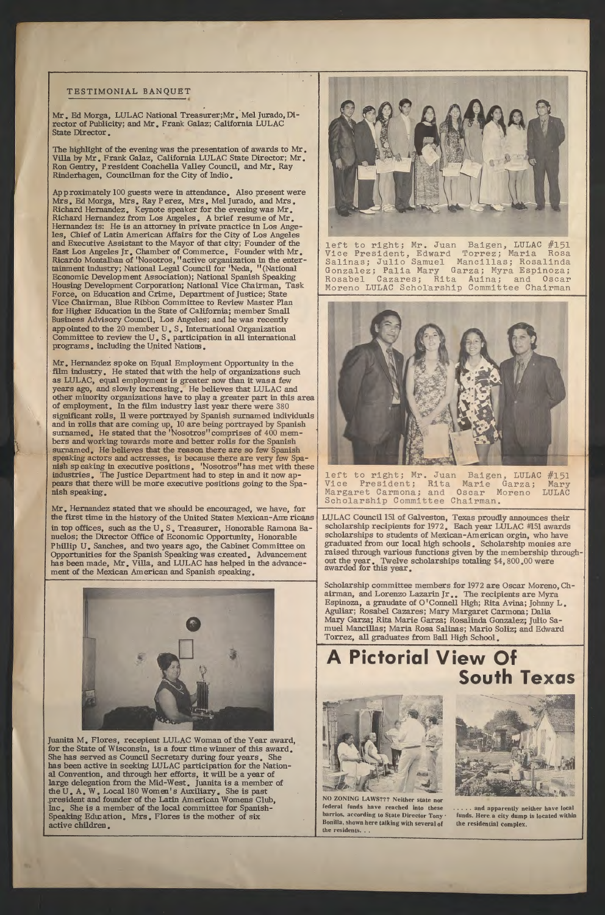#### TESTIMONIAL BANQUET

The highlight of the evening was the presentation of awards to Mr. Villa by Mr. Frank Galaz, California LULAC State Director; Mr. Ron Gentry, President Coachella Valley Council, and Mr. Ray Rinderhagen, Councilman for the City of Indio.

Mr. Ed Morga, LULAC National Treasurer;Mr. Mel Jurado, Director of Publicity; and Mr. Frank Galaz; California LULAC State Director.

Approximately 100 guests were in attendance. Also present were Mrs. Ed Morga, Mrs. Ray Perez, Mrs. Mel Jurado, and Mrs. Richard Hernandez. Keynote speaker for the evening was Mr. Richard Hernandez from Los Angeles. A brief resume of Mr. Hernandez is: He is an attorney in private practice in Los Angeles, Chief of Latin American Affairs for the City of Los Angeles and Executive Assistant to the Mayor of that city; Founder of the East Los Angeles Jr. Chamber of Commerce. Founder with Mr. Ricardo Montalban of 'Nosotros, "active organization in the entertainment industry; National Legal Council for 'Neda, "(National Economic Development Association); National Spanish Speaking Housing Development Corporation; National Vice Chairman, Task Force, on Education and Crime, Department of Justice; State Vice Chairman, Blue Ribbon Committee to Review Master Plan for Higher Education in the State of California; member Small. Business Advisory Council, Los Angeles; and he was recently appointed to the 20 member U • S. International Organization Committee to review the U.S. participation in all international programs. including the United Natiom.

Mr. Hernandez spoke on Equal Employment Opportunity in the film industry. He stated that with the help of organizations such as LULAC, equal employment is greater now than it was a few years ago, and slowly increasing. He believes that LULAC and other minority organizations have to play a greater part in this area of employment. In the film industry last year there were 380 significant rolls, 11 were portrayed by Spanish surnamed individuals and in rolls that are coming up, 10 are being portrayed by Spanish surnamed. He stated that the 'Nosotros'' comprises of 400 members and working towards more and better rolls for the Spanish surnamed. He believes that the reason there are so few Spanish speaking actors and actresses, is because there are very few Spanish speaking in executive positions. 'Nosotros" has met with these industries. The Justice Department had to step in and it now appears that there will be more executive positions going to the Spanish speaking.

> LULAC Council 151 of Galveston, Texas proudly announces their scholarship recipients for 1972. Each year LULAC #151 awards scholarships to students of Mexican-American orgin, who have graduated from our local high schools • Scholarship monies are raised through various functions given by the membership throughout the year. Twelve scholarships totaling \$4,800.00 were awarded for this year.

NO ZONING LAWS??? Neither state nor federal funds have reached into these barrios, according to State Director Tony · Bonilla, shown here talking with several of the residents...



..... and apparently neither have local funds. Here. a city dump is located within the residential complex.

Mr. Hernandez stated that we should be encouraged, we have, for the first time in the history of the United States Mexican-Ame ricans in top offices, such as the U.S. Treasurer, Honorable Ramona Banuelos; the Director Office of Economic Opportunity, Honorable Phillip U. Sanches, and two years ago, the Cabinet Committee on Opportunities for the Spanish Speaking was created. Advancement has been made, Mr. Villa, and LULAC has helped in the advancement of the Mexican American and Spanish speaking.





left to right; Mr. Juan Baigen, LULAC #151 Vice President, Edward Torrez; Maria Rosa Salinas; Julio Samuel Mancillas; Rosalin Gonzalez; Palia Mary Garza; Myra Espinoza; Rosabel Cazares; Rita Auina; and Oscar Moreno LULAC Scholarship Committee Chairman



left to right; Mr. Juan Baigen, LULAC #151 Vice President; Rita Marie Garza; Mary Margaret Carmona; and Oscar Moreno LULAC Scholarship Committee Chairman.

Scholarship committee members for 1972 are Oscar Moreno, Chairman, and Lorenzo Lazarin Jr.. The recipients are Myra Espinoza, a graudate of O'Connell High; Rita Avina; Johnny L. Aguliar; Rosabel Cazares; Mary Margaret Carmona; Dalia Mary Garza; Rita Marie Garza; Rosalinda Gonzalez; Julio Samuel Mancillas; Maria Rosa Salinas; Mario Soliz; and Edward Torrez, all graduates from Ball High School.

Juanita M. Flores, recepient LULAC Woman of the Year award, for the State of Wisconsin, is a four time winner of this award. She has served as Council Secretary during four years. She has been active in seeking LULAC participation for the National Convention, and through her efforts, it will be a year of large delegation from the Mid-West. Juanita is a member of the U. A. W. Local 180 Women's Auxiliary. She is past president and founder of the Latin American Womens Club, Inc. She is a member of the local committee for Spanish-Speaking Education. Mrs. Flores is the mother of six active children.

## **A Pictorial View Of South Texas**

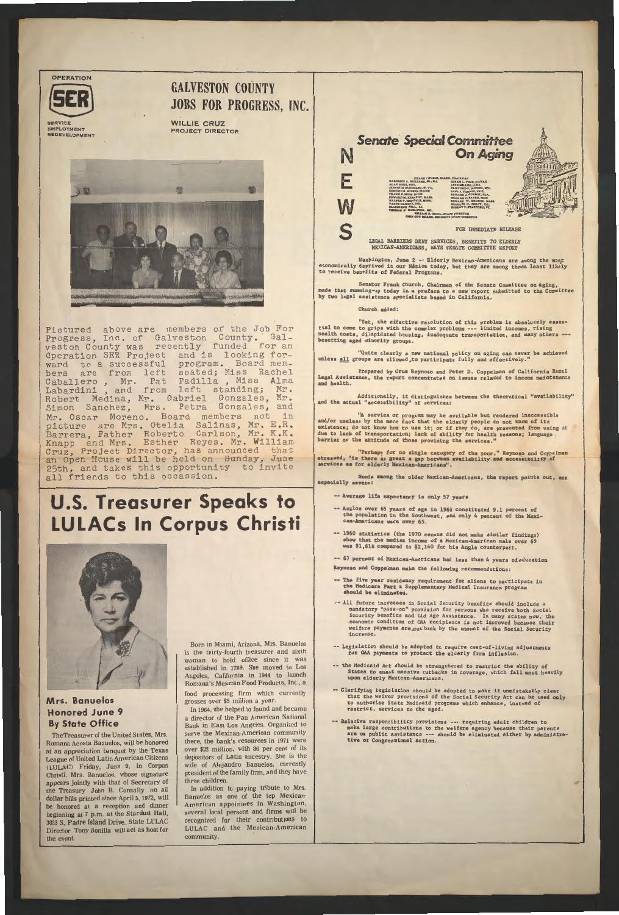**OPERATION** 



**SERVICE** EMPLOYMENT REDEVELOPMENT

#### **GALVESTON COUNTY** JOBS FOR PROGRESS, INC.

WILLIE CRUZ PROJECT DIRECTOR



Pictured above are members of the Job For Progress, Inc. of Galveston County. Galveston County was recently funded for an Operation SER Project and is looking forward to a successful program. Board members are from left seated; Miss Rache Caballero, Mr. Pat Padilla, Miss Alma Labardini, and from left standing; Mr. Robert Medina, Mr. Gabriel Gonzales, Mr. Simon Sanchez, Mrs. Petra Gonzales, and Mr. Oscar Moreno. Board members not in picture are Mrs. Otelia Salinas, Mr. E.R. Barrera, Father Roberto Carlson, Mr. K.K. Knapp and Mrs. Esther Reyes. Mr. Willia Cruz, Project Director, has announced tha an Open House will be held on Sunday, June 25th, and takes this opportunity to invite all friends to this occassion.

## **U.S. Treasurer Speaks to LULACs In Corpus Christi**



#### **Mrs. Banuelos Honored June 9 By State Office**

The Treasurer of the United States, Mrs. Romana Acosta Banuelos, will be honored at an appreciation banquet by the Texas League of United Latin American Citizens (LULAC) Friday, June 9, in Corpus Christi. Mrs. Banuelos, whose signature appears jointly with that of Secretary of the Treasury John B. Connally on all dollar bills printed since April 5, 1972, will be honored at a reception and dinner beginning at 7 p.m. at the Stardust Hall, 3033 S. Padre Island Drive. State LULAC Director Tony Bonilla will act as host for the event.

Born in Miami, Arizona, Mrs. Banuelos is the thirty-fourth treasurer and sixth woman to hold office since it was established in 1789. She moved to Los Angeles, California in 1944 to launch Romana's Mexican Food Products, Inc., a

Washington, June 2 -- Elderly Mexican-Americans are among the most economically deprived in our Nation today, but they are among those least likely to receive benefits of Federal Programs.

food processing firm which currently grosses over \$5 million a year.

In 1964, she helped to found and became a director of the Pan American National Bank in East Los Angeles. Organized to serve the Mexican-American community there, the bank's resources in 1971 were over \$22 million, with 86 per cent of its depositors of Latin ancestry. She is the wife of Alejandro Banuelos, currently president of the family firm, and they have three children.

In addition to paying tribute to Mrs. Banuelos as one of the top Mexican-American appointees in Washington, several local persons and firms will be recognized for their contributions to LULAC and the Mexican-American community.

"Perhaps for no single category of the poor," Reynoso and Coppelman atressed, "is there as great a gap between availability and accessibility of services **as** for elderly Mexican-Americans".

- -- Average life expectancy is only 57 years
- -- Anglos over 65 years of age in 1960 constituted 9.1 percent of the population in the Southwest, and only 4 percent of the Mexican-Americans were over 65.
- 1960 **statistics** (the 1970 census did not make similar findings) show that the median income of a Mexican-American male over 65 was \$1,616 compared to \$2,140 for his Anglo counterpar



Senator Frank Church, Chairman of the Senate Committee on Aging, made that summing-up today in a preface to a new report submitted to the Committee by two legal assistance **specialists baaed** in California.

Church added:

"Yet, the effective resolution of this problem is absolutely essential to come to grips with the complex problems --- limited incomes, rising health costs, dilapidated housing, inadequate transportation, and many others --- besetting aged minority groups.

"Quite clearly a new national policy on aging can never be achieved<br>unless all groups are allowed to participate fully and effectively."

Prepared by Cruz Reynoso and Peter D. Coppelman of California Rural Legal Assistance, the report concentrates on issues related to income maintenance and health.

Additionally, it distinguishes between the theoretical "availabili and the actual "accessibility" of services

"A service or program may be available but rendered inaccessible and/or useless by the mere fact that the elderly people do not know of its existence; do not know how to use it; or if they do, are prevented from using it due to lack of transportation; lack of ability for health reasons; language barrier or the attitude of those providing the services."

Needs among the older Mexican-Americans, the report points out, are especially **aevere:** 

-- 67 percent of Mexican-Americans had less than 4 years of education Reynoso and Coppelman make the following recommendations:

- -- The five year residency requirement for aliens to participate in the Medicare Part B Supplementary Medical Insurance program hould **be eliminated.**
- -- All future increases in Social Security benefits should include a mandatory "pass-on" provision for persons who receive both Social Security benefits and Old Age Assistance. In many states now, the economic condition of OAA recipients is not improved because their welfare payments are.cut back by the amount of the Social Security increase.

-- Legislation should be adopted to require cost-of-living adjustments

- for OAA payments to protect the elderly from inflation.
- The Medicaid Act should be strengthened to restrict the ability of States to enact massive cutbacks in coverage, which fall most heavily upon elderly Mexican-Americans.
- Clarifying legislation should be adopted to make it unmistakably clear that the waiver provisions of the Social Security Act can be used only to authorize State Medicaid programs which enhance, instead of restrict, services to the aged,
- -- Relative responsibility provisions --- requiring adult children to make large contributions to the welfare agency because their parents are on public assistance --- should be eliminated either by administra**tive** or Congressional action.